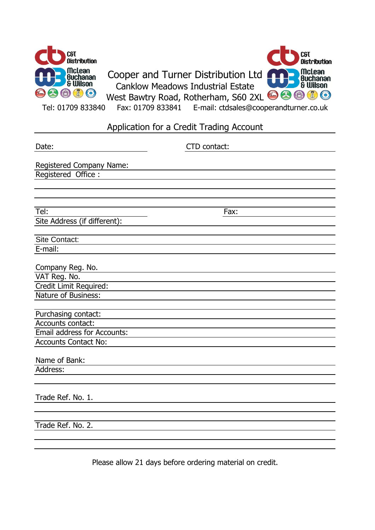

# Application for a Credit Trading Account

| Date:                                           | CTD contact: |
|-------------------------------------------------|--------------|
|                                                 |              |
| Registered Company Name:<br>Registered Office : |              |
|                                                 |              |
|                                                 |              |
|                                                 |              |
| Tel:                                            | Fax:         |
| Site Address (if different):                    |              |
| <b>Site Contact:</b>                            |              |
| E-mail:                                         |              |
|                                                 |              |
| Company Reg. No.                                |              |
| VAT Reg. No.                                    |              |
| Credit Limit Required:                          |              |
| Nature of Business:                             |              |
|                                                 |              |
| Purchasing contact:                             |              |
| Accounts contact:                               |              |
| Email address for Accounts:                     |              |
| <b>Accounts Contact No:</b>                     |              |
| Name of Bank:                                   |              |
| Address:                                        |              |
|                                                 |              |
|                                                 |              |
| Trade Ref. No. 1.                               |              |
|                                                 |              |
|                                                 |              |
| Trade Ref. No. 2.                               |              |
|                                                 |              |
|                                                 |              |

Please allow 21 days before ordering material on credit.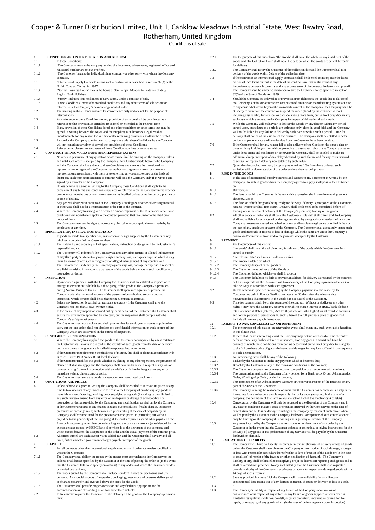## Cooper & Turner Distribution Limited, Unit 1, Canklow Meadows Industrial Estate, West Bawtry Road, Rotherham, United Kingdom

#### ,<br><sup>ditions</sup> of Sale

| Conditions of :                                                                                                                                                                                    |
|----------------------------------------------------------------------------------------------------------------------------------------------------------------------------------------------------|
| DEFINITIONS AND INTERPRETATION AND GENERAL                                                                                                                                                         |
| In these Conditions:<br>'The Company' means the company issuing the document, whose name, registered office and                                                                                    |
| registered number are set out overleaf.                                                                                                                                                            |
| 'The Customer' means the individual, firm, company or other party with whom the Company<br>contracts.                                                                                              |
| 'International Supply Contract' means such a contract as is described in section 26 (3) of the<br>Unfair Contract Terms Act 1977.                                                                  |
| 'Normal Business Hours' means the hours of 9am to 5pm Monday to Friday excluding                                                                                                                   |
| English Bank Holidays.<br>'Supply' includes (but not limited to) any supply under a contract of sale.                                                                                              |
| 'These Conditions' means the standard conditions and any other terms of sale set out or                                                                                                            |
| referred to in the Company's acknowledgement of order.<br>The heading in these Conditions are for convenience only and are not for the purpose of                                                  |
| interpretation.<br>Any reference in these Conditions to any provision of a statute shall be constituted as a                                                                                       |
| reference to that provision as amended re-enacted or extended at the relevant time.                                                                                                                |
| If any provision of these Conditions (or of any other conditions or other terms that may be<br>agreed in writing between the Buyer and the Supplier) is or becomes illegal, void or                |
| unenforceable for any reason the validity of the remaining provisions shall not be affected.<br>Failure by the Company to enforce strict compliance with these Conditions by the Customer          |
| will not constitute a waiver of any of the provisions of these Conditions.                                                                                                                         |
| References to clauses are to clauses of these Conditions, unless otherwise stated.<br>CONTRACT TERMS, VARIATIONS AND REPRESENTATIONS                                                               |
| No order in pursuance of any quotation or otherwise shall be binding on the Company unless                                                                                                         |
| and until such order is accepted by the Company. Any Contract made between the Company<br>and the Customer shall be subject to these Conditions and save as after mentioned no                     |
| representatives or agent of the Company has authority to agree any terms or make any<br>representations inconsistent with them or to enter into any contract except on the basis of                |
| them; any such term representation or contract will bind the Company only if in writing and                                                                                                        |
| signed by a Director of the Company.<br>Unless otherwise agreed in writing by the Company these Conditions shall apply to the                                                                      |
| exclusion of any terms and conditions stipulated or referred to by the Company in his order or                                                                                                     |
| pre-contract negotiations or any inconsistent terms implied by law or trade custom, practice or<br>course of dealing.                                                                              |
| Any general description contained in the Company's catalogues or other advertising material<br>or otherwise shall not for a representation or be part of the contract.                             |
| Where the Company has not given a written acknowledgement of the Customer's order these                                                                                                            |
| conditions will nonetheless apply to the contract provided that the Customer has had prior<br>notice of them.                                                                                      |
| The Company reserves the right to correct any clerical or typographical errors made by its<br>employees at any time.                                                                               |
| SPECIFICATION, INSTRUCTION OR DESIGN                                                                                                                                                               |
| If goods are made to a specification, instruction or design supplied by the Customer or any<br>third party on behalf of the Customer then:                                                         |
| The suitability and accuracy of that specification, instruction or design will be the Customer's                                                                                                   |
| responsibility; and<br>The Customer will indemnify the Company against any infringement or alleged infringement                                                                                    |
| of any third party's intellectual property rights and any loss, damage or expense which it may<br>incur by reason of any such infringement or alleged infringement of any country; and             |
| The Customer will indemnify the Company against any loss, damage or expense in respect of                                                                                                          |
| any liability arising in any country by reason of the goods being made to such specification,<br>instruction or design.                                                                            |
| <b>INSPECTION</b>                                                                                                                                                                                  |
| Upon written agreement with the Company the Customer shall be entitled to inspect, or to<br>arrange inspection on its behalf by a third party, of the goods at the Company's premises              |
| during Normal Business Hours. The Customer shall upon such agreement provide the<br>Company with the name and address of the persons to be authorised to carry out such                            |
| inspection, which persons shall be subject to the Company's approval.                                                                                                                              |
| Before any inspection is carried out pursuant to clause 4.1 the Customer shall give the<br>Company not less than 3 days' written notice.                                                           |
| In the course of any inspection carried out by or on behalf of the Customer, the Customer shall                                                                                                    |
| ensure that any person appointed by it to carry out the inspection shall comply with the<br>Company's safety requirements.                                                                         |
| The Customer shall not disclose and shall procure that its employees or agents appointed to<br>carry out the inspection shall not disclose any confidential information or trade secrets of the    |
| Company which are discovered in the course of inspection.                                                                                                                                          |
| <b>CUSTOMER'S REPRESENTATION</b><br>Where the Company has supplied the goods to the Customer accompanied by a test certificate                                                                     |
| the Customer shall maintain a record of the identity of such goods from the date of delivery                                                                                                       |
| until such time as the goods are installed/incorporated into other items.<br>If the Customer is to determine the thickness of plating, this shall be done in accordance with                       |
| B57371: Part3: 1993 Annex B, B1 local thickness.<br>If the Customer modifies the goods whether by plating or any other operation, the provision of                                                 |
| clause 11.3 shall not apply and the Company shall have no liability in respect of any loss or                                                                                                      |
| damage arising from or in connection with any defect or failure in the goods or any error<br>regarding weight, dimensions, capacity.                                                               |
| The Customer shall store the goods in clean, dry, well ventilated conditions.                                                                                                                      |
| <b>QUOTATIONS AND PRICES</b><br>Unless otherwise agreed in writing the Company shall be entitled to increase its prices at any                                                                     |
| time to take account of any increase in the cost to the Company of purchasing any goods or<br>materials or manufacturing, working on or supplying any goods (including but not limited to          |
| any such increase arising from any error or inadequacy or change of any specification,                                                                                                             |
| instruction or design provided by the Customer, any modification carried out by the Company<br>at the Customers request or any change in taxes, customs duties, freight charges, insurance         |
| premiums or exchange rates) such increased prices ruling at the date of despatch by the                                                                                                            |
| Company shall be substituted for the previous contract price. In particular, but without<br>prejudice to the generality of the foregoing, if the contract price is specified or payable in the     |
| Euro or in a currency other than pound sterling and the payment currency (as evidenced by the                                                                                                      |
| exchange rates quoted by HSBC Bank plc) which is to the detriment of the company and<br>which occurs between the acceptance of the order and the actual payment of the contract price.             |
| All prices quoted are exclusive of Value added Tax and the Customer shall pay any and all<br>taxes, duties and other government charges payable in respect of the goods.                           |
| <b>DELIVERY</b>                                                                                                                                                                                    |
| For all contracts other than international supply contracts and unless otherwise specified in<br>writing the Company:                                                                              |
| The Company shall deliver the goods by the means most convenient to the Company to the                                                                                                             |
| address or addresses specified by the Customer at the time of placing the order or (in the event<br>that the Customer fails so to specify an address) to any address at which the Customer resides |
| or carried out business;<br>The prices quoted by the Company shall include standard inspection, packaging and UK                                                                                   |
| delivery. Any special aspects of inspection, packaging, insurance and overseas delivery shall                                                                                                      |
| be charged separately and over and above the price for the goods;<br>The Customer shall provide proper access for and any facilities appropriate for the                                           |
| accommodation and off-loading of 40 foot articulated vehicles.                                                                                                                                     |
| If the contract requires the Customer to take delivery of the goods at the Company's premises<br>then:                                                                                             |
|                                                                                                                                                                                                    |

| 7.4              | Should the Company be delayed in or prevented from delivering the goods due to failure of<br>the Company's or its sub-contractors computerised business or manufacturing systems or due<br>to any cause whatsoever beyond the reasonable control of the Company, the Company shall be             |
|------------------|---------------------------------------------------------------------------------------------------------------------------------------------------------------------------------------------------------------------------------------------------------------------------------------------------|
|                  | at liberty to terminate the contract or suspend the order placed by the customer without<br>incurring any liability for any loss or damage arising there from, but without prejudice in any<br>such case to rights accrued to the Company in respect of deliveries already made.                  |
| 7.5              | While the Company will endeavour to deliver the Goods by any date or within any period<br>agreed upon, such dates and periods are estimates only given in good faith and the Company                                                                                                              |
|                  | will not be liable for any failure to deliver by such date or within such a period. Time for                                                                                                                                                                                                      |
|                  | delivery shall not be of the essence of the contract. The Company shall be entitled to defer<br>delivery or performance until monies due from the Customer have been received.                                                                                                                    |
| 7.6              | If the Customer shall for any reason fail to take delivery of the Goods on the agreed date or                                                                                                                                                                                                     |
|                  | dates or delay in doing so then without prejudice to any other rights of the Company whether                                                                                                                                                                                                      |
|                  | under these terms and conditions or otherwise the Company shall be entitled to make an<br>additional charge in respect of any delayed caused by such failure and for any costs incurred                                                                                                           |
|                  | as a result of repeated delivery necessitated by such failure.                                                                                                                                                                                                                                    |
| 7.7              | Quantities despatched may vary by up to plus or minus 10% from those ordered, such                                                                                                                                                                                                                |
| 8                | variation will be due execution of the order and may be charged pro rata.<br><b>RISK IN THE GOODS</b>                                                                                                                                                                                             |
| 8.1              | In the case of international supply contracts and subject to any agreement in writing by the                                                                                                                                                                                                      |
|                  | Company, the risk in goods which the Company agrees to supply shall pass to the Customer<br>on:                                                                                                                                                                                                   |
| 8.1.1            | Delivery; or                                                                                                                                                                                                                                                                                      |
| 8.1.2            | The date on which the Customer defaults (which expression shall have the meaning set out in                                                                                                                                                                                                       |
| 8.1.3            | clause $9.1.3$ ); or<br>The date, on which the goods being ready for delivery, delivery is postponed at the Customers                                                                                                                                                                             |
|                  | request, whichever shall first occur. Delivery shall be deemed to be completed before off-<br>loading or (in the case of delivery at the Company's premises) loading of the goods.                                                                                                                |
| 8.2              | All other goods or materials shall be at the Customer's sole risk at all times, and the Company<br>shall not be liable for any loss of or damage sustained by any goods or materials left with the<br>Company howsoever caused and whether or not attributable to negligence or wilful default on |
|                  | the part of any employee or agent of the Company. The Customer shall adequately insure such<br>goods and materials in respect of loss or damage whilst the same are under the Company's                                                                                                           |
|                  | control and/or in transit from and to the premises occupied by the Customer.                                                                                                                                                                                                                      |
| 9                | <b>PAYMENT</b>                                                                                                                                                                                                                                                                                    |
| 9.1<br>9.1.1     | For the purpose of this clause:<br>'the goods' shall mean the whole or any instalment of the goods which the Company has                                                                                                                                                                          |
|                  | agreed to supply;                                                                                                                                                                                                                                                                                 |
| 9.1.2<br>9.1.2.1 | 'the relevant date' shall mean the date on which<br>The invoice is dated on which                                                                                                                                                                                                                 |
| 9.1.2.2          | The Company despatches the goods or                                                                                                                                                                                                                                                               |
| 9.1.2.3          | The Customer takes delivery of the Goods or                                                                                                                                                                                                                                                       |
| 9.1.2.4<br>9.1.3 | The Customer defaults, whichever shall first occur.<br>The Customer defaults if he fails to provide an address for delivery as required by the contract                                                                                                                                           |
|                  | or (if it is agreed that the Customer will take delivery at the Company's premises) he fails to                                                                                                                                                                                                   |
|                  | take delivery in accordance with such agreement.                                                                                                                                                                                                                                                  |
| 9.2              | Unless otherwise specified in writing by the Company payment shall be made by the<br>Customer net cash in Pounds Sterling not later than 30 days after the relevant date                                                                                                                          |
|                  | notwithstanding that property in the goods has not passed to the Customer.                                                                                                                                                                                                                        |
| 9.3              | Time for payment shall be of the essence of the contract. Without prejudice to any other<br>rights it may have the Company reserves the right to charge interest at HSBC bank plc base                                                                                                            |
|                  | rate Commercial Debts (Interest) Act 1998 (whichever is the higher) on all overdue accounts                                                                                                                                                                                                       |
|                  | and for the purpose of paragraphs 10 and 13 hereof the full purchase price of goods shall<br>include all interest payable hereunder.                                                                                                                                                              |
| 10               | FAILURE TO PAY, CANCELLATION OR DEFERMENT                                                                                                                                                                                                                                                         |
| 10.1             | For the purpose of this clause 'an intervening event' shall mean any such event as is described                                                                                                                                                                                                   |
| 10.2             | in sub clause 10.3.<br>If there shall be an intervening event the Company may, within a reasonable time thereafter,                                                                                                                                                                               |
|                  | defer or cancel any further deliveries or services, stop any goods in transit and treat the                                                                                                                                                                                                       |
|                  | contract of which these conditions form part as determined but without prejudice to its rights<br>to the full purchase price of goods delivered and damages for any loss suffered in consequence                                                                                                  |
|                  | of such determination.                                                                                                                                                                                                                                                                            |
| 10.3             | An intervening event shall be any of the following:                                                                                                                                                                                                                                               |
| 10.3.1<br>10.3.2 | Failure by the Customer to make any payment which it becomes due;<br>Breach by the Customer of any of the terms and conditions of the contract;                                                                                                                                                   |
| 10.3.3           | The Customers proposal for or entry into any composition or arrangement with creditors;                                                                                                                                                                                                           |
| 10.3.4           | The presentation against the Customer of any petition for a Bankruptcy Order, Administration<br>Order, Winding - Up Order, or similar process;                                                                                                                                                    |
| 10.3.5           | The appointment of an Administrative Receiver or Receiver in respect of the Business or any                                                                                                                                                                                                       |
|                  | part of the assets of the Customer;                                                                                                                                                                                                                                                               |
| 10.3.6           | The Company forming the reasonable opinion that the Customer has become or is likely in the<br>immediate future to become unable to pay his, her or its debts (adopting, in the case of a                                                                                                         |
|                  | company, the definition of that term set out in section 123 of the Insolvency Act 1986).                                                                                                                                                                                                          |
| 10.4             | Cancellation by the Customer will only be accepted at the discretion of the Company and in<br>any case on condition that any costs or expenses incurred by the Company up to the date of                                                                                                          |
|                  | cancellation and all loss or damage resulting in the company by reason of such cancellation                                                                                                                                                                                                       |
|                  | will be paid by the Customer to the Company forthwith. Acceptance of such cancellation will                                                                                                                                                                                                       |
|                  | only be binding on the company if in writing and signed by a Director of the Company.                                                                                                                                                                                                             |
|                  |                                                                                                                                                                                                                                                                                                   |
| 10.5             | Any costs incurred by the Company due to suspension or determent of any order by the<br>Customer or in the event that the Customer defaults in collecting, or giving instructions for the                                                                                                         |
|                  | delivery of, any goods or the performance of any Services will be payable by the Customer                                                                                                                                                                                                         |
|                  | forthwith on demand.<br><b>LIMITATIONS OF LIABILITY</b>                                                                                                                                                                                                                                           |
|                  | The Company will have no liability for damage in transit, shortage of delivery or loss of goods                                                                                                                                                                                                   |
| 11<br>11.1       | unless the Customer shall have given to the Company written notice of such damage, shortage                                                                                                                                                                                                       |
|                  | or loss with reasonable particulars thereof within 3 days of receipt of the goods or (in the case<br>of total loss) of receipt of the invoice or other notification of despatch. The Company's                                                                                                    |
|                  | liability, if any, shall be limited to resupplying or (in its discretion) repairing such goods and it                                                                                                                                                                                             |
|                  | shall be a condition precedent to any such liability that the Customer shall if so requested                                                                                                                                                                                                      |
|                  | provide authority of the Company's employees or agents to inspect any damaged goods within<br>14 days of such a request.                                                                                                                                                                          |
| 11.2             | Save as provided in clause 11.1 the Company will have no liability for any direct or<br>consequential loss arising out of any damage in transit, shortage or delivery or loss of goods.                                                                                                           |

7.2.1 For the purpose of this sub-clause 'the Goods' shall mean the whole or any instalment of the

7.2.2 The Company shall notify the Customer of the collection date and the Customer shall take delivery of the goods within 5 days of the collection date.<br>T.3 If the contract is an international supply contract it shall be deemed to incorporate the latest<br>edition of Inco terms current at the date of the contract sav

goods and 'the Collection Date' shall mean the date on which the goods are or will be ready for delivery;

inconsistency between Inco terms and any express term of the contract the latter shall prevail. The Company shall be under no obligation to give the Customer notice specified in section 32(3) of the Sale of Goods Act 1979.

 $11.3$ 11.3.1 The Company's liability in respect of any breach of the Company's declaration of<br>conformance or in respect of any defect, or any failure of goods supplied or work done is<br>limited to resupplying (with new goods0, or